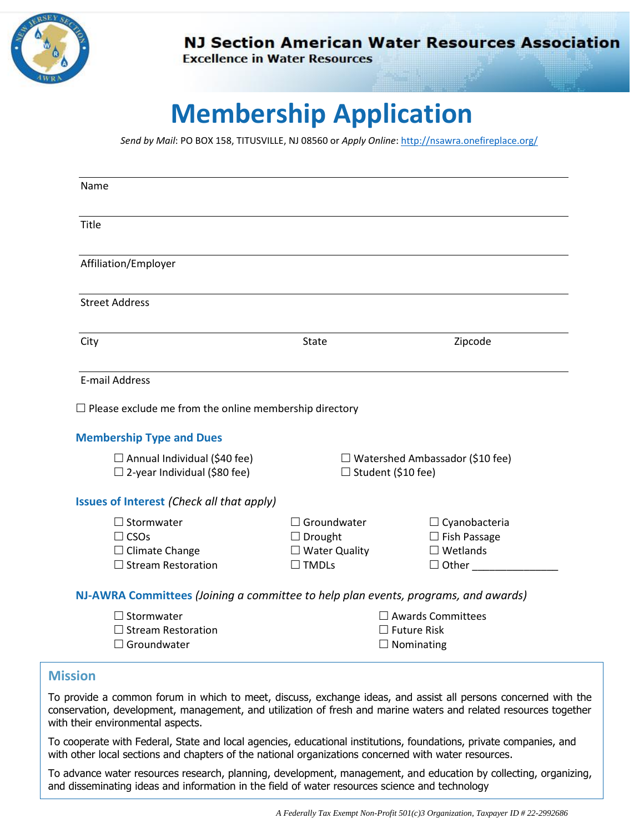

**NJ Section American Water Resources Association** 

**Excellence in Water Resources** 

## **Membership Application**

*Send by Mail*: PO BOX 158, TITUSVILLE, NJ 08560 or *Apply Online*: <http://nsawra.onefireplace.org/>

| Title                                                                                                                                                |                           |                                        |
|------------------------------------------------------------------------------------------------------------------------------------------------------|---------------------------|----------------------------------------|
| Affiliation/Employer                                                                                                                                 |                           |                                        |
| <b>Street Address</b>                                                                                                                                |                           |                                        |
| City                                                                                                                                                 | State                     | Zipcode                                |
| E-mail Address                                                                                                                                       |                           |                                        |
|                                                                                                                                                      |                           |                                        |
|                                                                                                                                                      |                           |                                        |
|                                                                                                                                                      |                           |                                        |
| $\Box$ Annual Individual (\$40 fee)                                                                                                                  |                           | $\Box$ Watershed Ambassador (\$10 fee) |
| $\Box$ 2-year Individual (\$80 fee)                                                                                                                  | $\Box$ Student (\$10 fee) |                                        |
| $\Box$ Please exclude me from the online membership directory<br><b>Membership Type and Dues</b><br><b>Issues of Interest (Check all that apply)</b> |                           |                                        |
| $\Box$ Stormwater                                                                                                                                    | $\Box$ Groundwater        | $\Box$ Cyanobacteria                   |
| $\Box$ CSOs                                                                                                                                          | $\Box$ Drought            | $\Box$ Fish Passage                    |
| $\Box$ Climate Change                                                                                                                                | $\Box$ Water Quality      | $\square$ Wetlands                     |
| $\Box$ Stream Restoration                                                                                                                            | $\Box$ TMDLs              | $\Box$ Other                           |
| NJ-AWRA Committees (Joining a committee to help plan events, programs, and awards)                                                                   |                           |                                        |
| $\Box$ Stormwater                                                                                                                                    |                           | $\Box$ Awards Committees               |
| $\Box$ Stream Restoration                                                                                                                            |                           | $\Box$ Future Risk                     |

To provide a common forum in which to meet, discuss, exchange ideas, and assist all persons concerned with the conservation, development, management, and utilization of fresh and marine waters and related resources together with their environmental aspects.

To cooperate with Federal, State and local agencies, educational institutions, foundations, private companies, and with other local sections and chapters of the national organizations concerned with water resources.

To advance water resources research, planning, development, management, and education by collecting, organizing, and disseminating ideas and information in the field of water resources science and technology

*A Federally Tax Exempt Non-Profit 501(c)3 Organization, Taxpayer ID # 22-2992686*